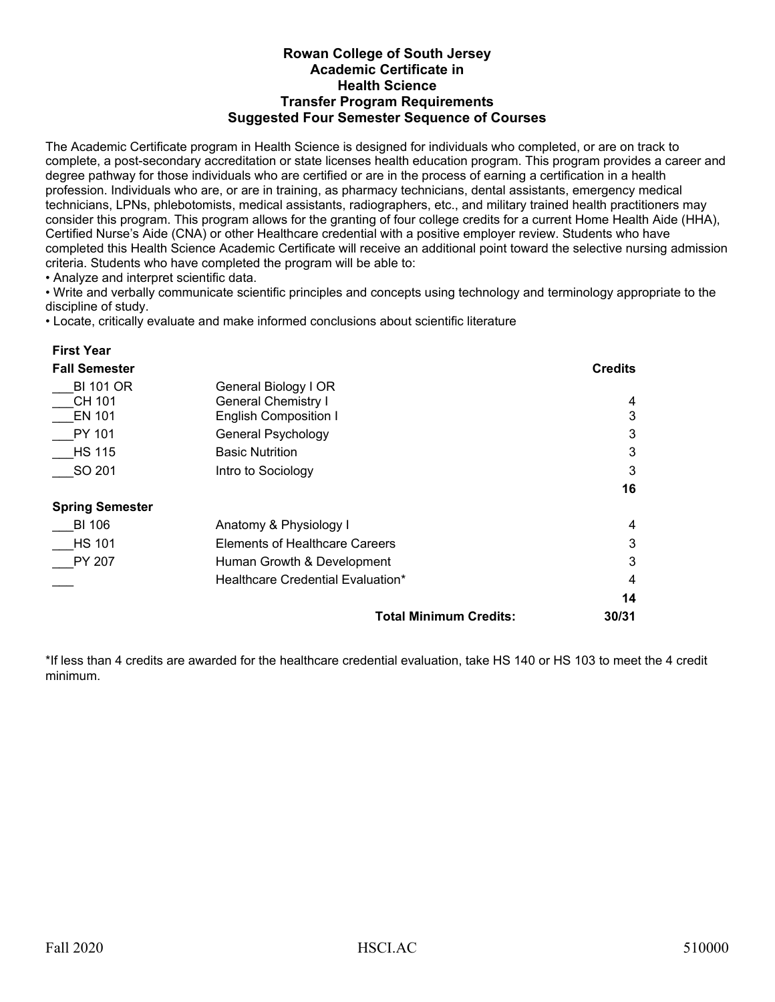## **Rowan College of South Jersey Academic Certificate in Health Science Transfer Program Requirements Suggested Four Semester Sequence of Courses**

The Academic Certificate program in Health Science is designed for individuals who completed, or are on track to complete, a post-secondary accreditation or state licenses health education program. This program provides a career and degree pathway for those individuals who are certified or are in the process of earning a certification in a health profession. Individuals who are, or are in training, as pharmacy technicians, dental assistants, emergency medical technicians, LPNs, phlebotomists, medical assistants, radiographers, etc., and military trained health practitioners may consider this program. This program allows for the granting of four college credits for a current Home Health Aide (HHA), Certified Nurse's Aide (CNA) or other Healthcare credential with a positive employer review. Students who have completed this Health Science Academic Certificate will receive an additional point toward the selective nursing admission criteria. Students who have completed the program will be able to:

• Analyze and interpret scientific data.

**First Year**

• Write and verbally communicate scientific principles and concepts using technology and terminology appropriate to the discipline of study.

• Locate, critically evaluate and make informed conclusions about scientific literature

| <b>Fall Semester</b>   |                                   | <b>Credits</b> |
|------------------------|-----------------------------------|----------------|
| <b>BI 101 OR</b>       | General Biology I OR              |                |
| CH 101                 | <b>General Chemistry I</b>        | 4              |
| <b>EN 101</b>          | <b>English Composition I</b>      | 3              |
| PY 101                 | General Psychology                | 3              |
| <b>HS 115</b>          | <b>Basic Nutrition</b>            | 3              |
| SO 201                 | Intro to Sociology                | 3              |
|                        |                                   | 16             |
| <b>Spring Semester</b> |                                   |                |
| <b>BI 106</b>          | Anatomy & Physiology I            | 4              |
| <b>HS 101</b>          | Elements of Healthcare Careers    | 3              |
| PY 207                 | Human Growth & Development        | 3              |
|                        | Healthcare Credential Evaluation* | 4              |
|                        |                                   | 14             |
|                        | <b>Total Minimum Credits:</b>     | 30/31          |

\*If less than 4 credits are awarded for the healthcare credential evaluation, take HS 140 or HS 103 to meet the 4 credit minimum.